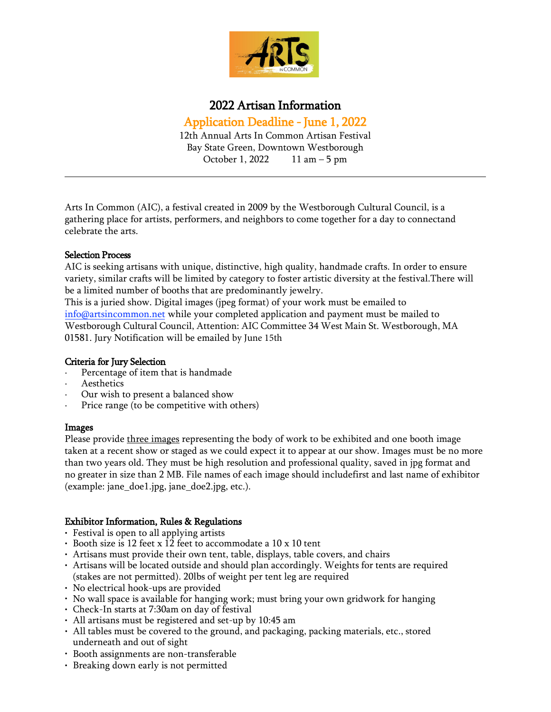

# 2022 Artisan Information

Application Deadline - June 1, 2022 12th Annual Arts In Common Artisan Festival Bay State Green, Downtown Westborough October 1, 2022 11 am – 5 pm

Arts In Common (AIC), a festival created in 2009 by the Westborough Cultural Council, is a gathering place for artists, performers, and neighbors to come together for a day to connectand celebrate the arts.

## Selection Process

AIC is seeking artisans with unique, distinctive, high quality, handmade crafts. In order to ensure variety, similar crafts will be limited by category to foster artistic diversity at the festival.There will be a limited number of booths that are predominantly jewelry.

This is a juried show. Digital images (jpeg format) of your work must be emailed to [info@artsincommon.net](mailto:info@artsincommon.net) while your completed application and payment must be mailed to Westborough Cultural Council, Attention: AIC Committee 34 West Main St. Westborough, MA 01581. Jury Notification will be emailed by June 15th

## Criteria for Jury Selection

- Percentage of item that is handmade
- · Aesthetics
- Our wish to present a balanced show
- Price range (to be competitive with others)

#### Images

Please provide three images representing the body of work to be exhibited and one booth image taken at a recent show or staged as we could expect it to appear at our show. Images must be no more than two years old. They must be high resolution and professional quality, saved in jpg format and no greater in size than 2 MB. File names of each image should includefirst and last name of exhibitor (example: jane\_doe1.jpg, jane\_doe2.jpg, etc.).

## Exhibitor Information, Rules & Regulations

- Festival is open to all applying artists
- Booth size is 12 feet x 12 feet to accommodate a 10 x 10 tent
- Artisans must provide their own tent, table, displays, table covers, and chairs
- Artisans will be located outside and should plan accordingly. Weights for tents are required (stakes are not permitted). 20lbs of weight per tent leg are required
- No electrical hook-ups are provided
- No wall space is available for hanging work; must bring your own gridwork for hanging
- Check-In starts at 7:30am on day of festival
- All artisans must be registered and set-up by 10:45 am
- All tables must be covered to the ground, and packaging, packing materials, etc., stored underneath and out of sight
- Booth assignments are non-transferable
- Breaking down early is not permitted